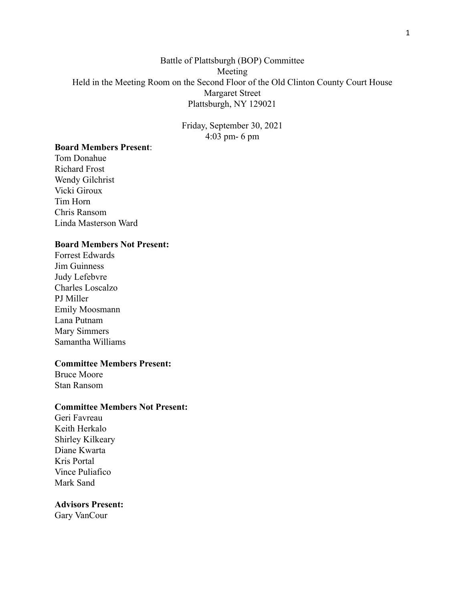# Battle of Plattsburgh (BOP) Committee Meeting Held in the Meeting Room on the Second Floor of the Old Clinton County Court House Margaret Street Plattsburgh, NY 129021

Friday, September 30, 2021 4:03 pm- 6 pm

## **Board Members Present**:

Tom Donahue Richard Frost Wendy Gilchrist Vicki Giroux Tim Horn Chris Ransom Linda Masterson Ward

### **Board Members Not Present:**

Forrest Edwards Jim Guinness Judy Lefebvre Charles Loscalzo PJ Miller Emily Moosmann Lana Putnam Mary Simmers Samantha Williams

### **Committee Members Present:**

Bruce Moore Stan Ransom

### **Committee Members Not Present:**

Geri Favreau Keith Herkalo Shirley Kilkeary Diane Kwarta Kris Portal Vince Puliafico Mark Sand

#### **Advisors Present:**

Gary VanCour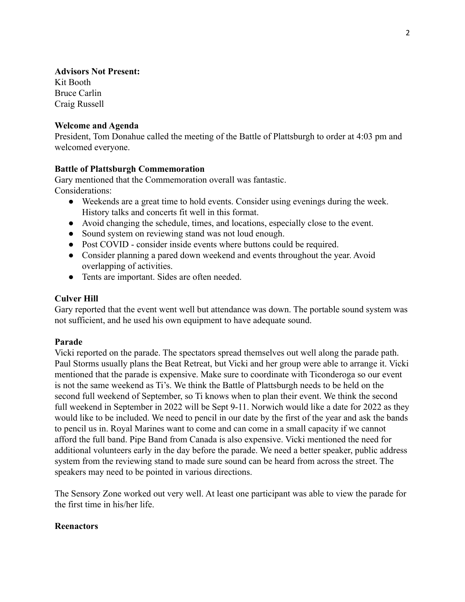# **Advisors Not Present:**

Kit Booth Bruce Carlin Craig Russell

# **Welcome and Agenda**

President, Tom Donahue called the meeting of the Battle of Plattsburgh to order at 4:03 pm and welcomed everyone.

# **Battle of Plattsburgh Commemoration**

Gary mentioned that the Commemoration overall was fantastic. Considerations:

- Weekends are a great time to hold events. Consider using evenings during the week. History talks and concerts fit well in this format.
- Avoid changing the schedule, times, and locations, especially close to the event.
- Sound system on reviewing stand was not loud enough.
- Post COVID consider inside events where buttons could be required.
- Consider planning a pared down weekend and events throughout the year. Avoid overlapping of activities.
- Tents are important. Sides are often needed.

# **Culver Hill**

Gary reported that the event went well but attendance was down. The portable sound system was not sufficient, and he used his own equipment to have adequate sound.

## **Parade**

Vicki reported on the parade. The spectators spread themselves out well along the parade path. Paul Storms usually plans the Beat Retreat, but Vicki and her group were able to arrange it. Vicki mentioned that the parade is expensive. Make sure to coordinate with Ticonderoga so our event is not the same weekend as Ti's. We think the Battle of Plattsburgh needs to be held on the second full weekend of September, so Ti knows when to plan their event. We think the second full weekend in September in 2022 will be Sept 9-11. Norwich would like a date for 2022 as they would like to be included. We need to pencil in our date by the first of the year and ask the bands to pencil us in. Royal Marines want to come and can come in a small capacity if we cannot afford the full band. Pipe Band from Canada is also expensive. Vicki mentioned the need for additional volunteers early in the day before the parade. We need a better speaker, public address system from the reviewing stand to made sure sound can be heard from across the street. The speakers may need to be pointed in various directions.

The Sensory Zone worked out very well. At least one participant was able to view the parade for the first time in his/her life.

## **Reenactors**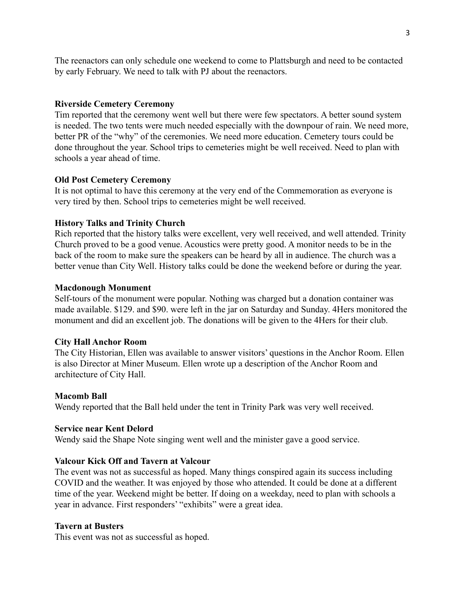The reenactors can only schedule one weekend to come to Plattsburgh and need to be contacted by early February. We need to talk with PJ about the reenactors.

### **Riverside Cemetery Ceremony**

Tim reported that the ceremony went well but there were few spectators. A better sound system is needed. The two tents were much needed especially with the downpour of rain. We need more, better PR of the "why" of the ceremonies. We need more education. Cemetery tours could be done throughout the year. School trips to cemeteries might be well received. Need to plan with schools a year ahead of time.

### **Old Post Cemetery Ceremony**

It is not optimal to have this ceremony at the very end of the Commemoration as everyone is very tired by then. School trips to cemeteries might be well received.

#### **History Talks and Trinity Church**

Rich reported that the history talks were excellent, very well received, and well attended. Trinity Church proved to be a good venue. Acoustics were pretty good. A monitor needs to be in the back of the room to make sure the speakers can be heard by all in audience. The church was a better venue than City Well. History talks could be done the weekend before or during the year.

### **Macdonough Monument**

Self-tours of the monument were popular. Nothing was charged but a donation container was made available. \$129. and \$90. were left in the jar on Saturday and Sunday. 4Hers monitored the monument and did an excellent job. The donations will be given to the 4Hers for their club.

### **City Hall Anchor Room**

The City Historian, Ellen was available to answer visitors' questions in the Anchor Room. Ellen is also Director at Miner Museum. Ellen wrote up a description of the Anchor Room and architecture of City Hall.

#### **Macomb Ball**

Wendy reported that the Ball held under the tent in Trinity Park was very well received.

### **Service near Kent Delord**

Wendy said the Shape Note singing went well and the minister gave a good service.

#### **Valcour Kick Off and Tavern at Valcour**

The event was not as successful as hoped. Many things conspired again its success including COVID and the weather. It was enjoyed by those who attended. It could be done at a different time of the year. Weekend might be better. If doing on a weekday, need to plan with schools a year in advance. First responders' "exhibits" were a great idea.

#### **Tavern at Busters**

This event was not as successful as hoped.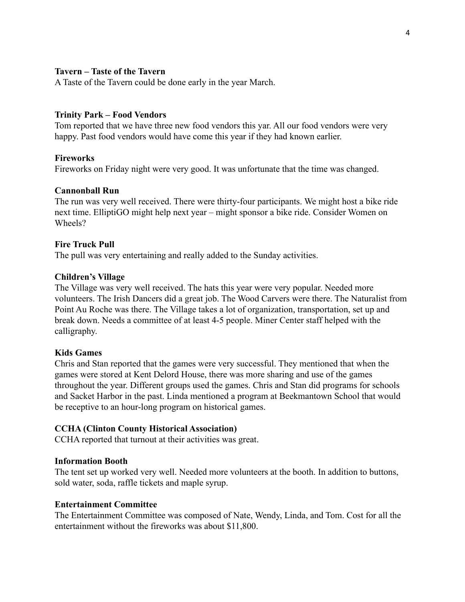# **Tavern – Taste of the Tavern**

A Taste of the Tavern could be done early in the year March.

### **Trinity Park – Food Vendors**

Tom reported that we have three new food vendors this yar. All our food vendors were very happy. Past food vendors would have come this year if they had known earlier.

### **Fireworks**

Fireworks on Friday night were very good. It was unfortunate that the time was changed.

### **Cannonball Run**

The run was very well received. There were thirty-four participants. We might host a bike ride next time. ElliptiGO might help next year – might sponsor a bike ride. Consider Women on Wheels?

### **Fire Truck Pull**

The pull was very entertaining and really added to the Sunday activities.

### **Children's Village**

The Village was very well received. The hats this year were very popular. Needed more volunteers. The Irish Dancers did a great job. The Wood Carvers were there. The Naturalist from Point Au Roche was there. The Village takes a lot of organization, transportation, set up and break down. Needs a committee of at least 4-5 people. Miner Center staff helped with the calligraphy.

### **Kids Games**

Chris and Stan reported that the games were very successful. They mentioned that when the games were stored at Kent Delord House, there was more sharing and use of the games throughout the year. Different groups used the games. Chris and Stan did programs for schools and Sacket Harbor in the past. Linda mentioned a program at Beekmantown School that would be receptive to an hour-long program on historical games.

### **CCHA (Clinton County Historical Association)**

CCHA reported that turnout at their activities was great.

### **Information Booth**

The tent set up worked very well. Needed more volunteers at the booth. In addition to buttons, sold water, soda, raffle tickets and maple syrup.

### **Entertainment Committee**

The Entertainment Committee was composed of Nate, Wendy, Linda, and Tom. Cost for all the entertainment without the fireworks was about \$11,800.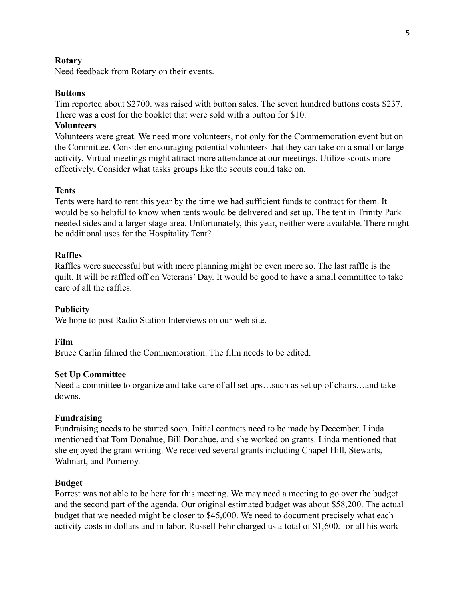### **Rotary**

Need feedback from Rotary on their events.

### **Buttons**

Tim reported about \$2700. was raised with button sales. The seven hundred buttons costs \$237. There was a cost for the booklet that were sold with a button for \$10.

# **Volunteers**

Volunteers were great. We need more volunteers, not only for the Commemoration event but on the Committee. Consider encouraging potential volunteers that they can take on a small or large activity. Virtual meetings might attract more attendance at our meetings. Utilize scouts more effectively. Consider what tasks groups like the scouts could take on.

### **Tents**

Tents were hard to rent this year by the time we had sufficient funds to contract for them. It would be so helpful to know when tents would be delivered and set up. The tent in Trinity Park needed sides and a larger stage area. Unfortunately, this year, neither were available. There might be additional uses for the Hospitality Tent?

### **Raffles**

Raffles were successful but with more planning might be even more so. The last raffle is the quilt. It will be raffled off on Veterans' Day. It would be good to have a small committee to take care of all the raffles.

## **Publicity**

We hope to post Radio Station Interviews on our web site.

### **Film**

Bruce Carlin filmed the Commemoration. The film needs to be edited.

### **Set Up Committee**

Need a committee to organize and take care of all set ups…such as set up of chairs…and take downs.

### **Fundraising**

Fundraising needs to be started soon. Initial contacts need to be made by December. Linda mentioned that Tom Donahue, Bill Donahue, and she worked on grants. Linda mentioned that she enjoyed the grant writing. We received several grants including Chapel Hill, Stewarts, Walmart, and Pomeroy.

## **Budget**

Forrest was not able to be here for this meeting. We may need a meeting to go over the budget and the second part of the agenda. Our original estimated budget was about \$58,200. The actual budget that we needed might be closer to \$45,000. We need to document precisely what each activity costs in dollars and in labor. Russell Fehr charged us a total of \$1,600. for all his work